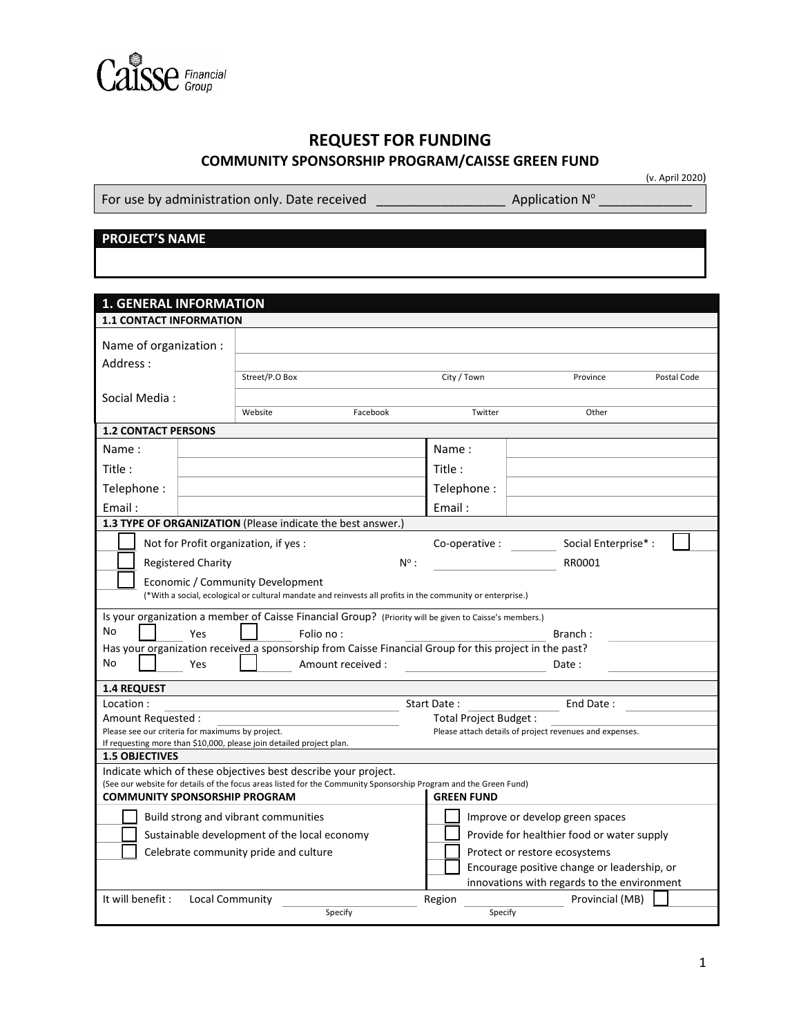

## **REQUEST FOR FUNDING COMMUNITY SPONSORSHIP PROGRAM/CAISSE GREEN FUND**

For use by administration only. Date received  $\frac{1}{\sqrt{1-\frac{1}{2}}}\left|\frac{1}{\sqrt{1-\frac{1}{2}}}\right|$  Application N°

(v. April 2020)

## **PROJECT'S NAME**

| <b>1. GENERAL INFORMATION</b>                                                                                                                                                 |                           |                                                                      |                                                                                                            |                                                         |                                             |             |  |  |
|-------------------------------------------------------------------------------------------------------------------------------------------------------------------------------|---------------------------|----------------------------------------------------------------------|------------------------------------------------------------------------------------------------------------|---------------------------------------------------------|---------------------------------------------|-------------|--|--|
|                                                                                                                                                                               |                           |                                                                      |                                                                                                            |                                                         |                                             |             |  |  |
| <b>1.1 CONTACT INFORMATION</b>                                                                                                                                                |                           |                                                                      |                                                                                                            |                                                         |                                             |             |  |  |
| Name of organization :                                                                                                                                                        |                           |                                                                      |                                                                                                            |                                                         |                                             |             |  |  |
| Address:                                                                                                                                                                      |                           |                                                                      |                                                                                                            |                                                         |                                             |             |  |  |
|                                                                                                                                                                               |                           | Street/P.O Box                                                       |                                                                                                            | City / Town                                             | Province                                    | Postal Code |  |  |
| Social Media:                                                                                                                                                                 |                           |                                                                      |                                                                                                            |                                                         |                                             |             |  |  |
|                                                                                                                                                                               |                           | Website                                                              | Facebook                                                                                                   | Twitter                                                 | Other                                       |             |  |  |
| <b>1.2 CONTACT PERSONS</b>                                                                                                                                                    |                           |                                                                      |                                                                                                            |                                                         |                                             |             |  |  |
| Name:                                                                                                                                                                         |                           |                                                                      |                                                                                                            | Name:                                                   |                                             |             |  |  |
| Title :                                                                                                                                                                       |                           |                                                                      |                                                                                                            | Title:                                                  |                                             |             |  |  |
| Telephone:                                                                                                                                                                    |                           |                                                                      |                                                                                                            | Telephone:                                              |                                             |             |  |  |
| Email:                                                                                                                                                                        |                           |                                                                      |                                                                                                            | Email:                                                  |                                             |             |  |  |
|                                                                                                                                                                               |                           |                                                                      | <b>1.3 TYPE OF ORGANIZATION</b> (Please indicate the best answer.)                                         |                                                         |                                             |             |  |  |
|                                                                                                                                                                               |                           | Not for Profit organization, if yes:                                 |                                                                                                            | Co-operative :                                          | Social Enterprise*:                         |             |  |  |
|                                                                                                                                                                               | <b>Registered Charity</b> |                                                                      | $N^{\circ}$ :                                                                                              |                                                         | RR0001                                      |             |  |  |
|                                                                                                                                                                               |                           | Economic / Community Development                                     |                                                                                                            |                                                         |                                             |             |  |  |
|                                                                                                                                                                               |                           |                                                                      | (*With a social, ecological or cultural mandate and reinvests all profits in the community or enterprise.) |                                                         |                                             |             |  |  |
|                                                                                                                                                                               |                           |                                                                      | Is your organization a member of Caisse Financial Group? (Priority will be given to Caisse's members.)     |                                                         |                                             |             |  |  |
| No                                                                                                                                                                            | Yes                       |                                                                      | Folio no:                                                                                                  |                                                         | Branch:                                     |             |  |  |
|                                                                                                                                                                               |                           |                                                                      | Has your organization received a sponsorship from Caisse Financial Group for this project in the past?     |                                                         |                                             |             |  |  |
| No                                                                                                                                                                            | Yes                       |                                                                      | Amount received:                                                                                           | Date:                                                   |                                             |             |  |  |
| <b>1.4 REQUEST</b>                                                                                                                                                            |                           |                                                                      |                                                                                                            |                                                         |                                             |             |  |  |
| Location:                                                                                                                                                                     |                           |                                                                      |                                                                                                            | Start Date:                                             | End Date:                                   |             |  |  |
| Amount Requested :                                                                                                                                                            |                           |                                                                      |                                                                                                            | Total Project Budget :                                  |                                             |             |  |  |
| Please see our criteria for maximums by project.                                                                                                                              |                           |                                                                      |                                                                                                            | Please attach details of project revenues and expenses. |                                             |             |  |  |
|                                                                                                                                                                               |                           | If requesting more than \$10,000, please join detailed project plan. |                                                                                                            |                                                         |                                             |             |  |  |
| <b>1.5 OBJECTIVES</b>                                                                                                                                                         |                           |                                                                      |                                                                                                            |                                                         |                                             |             |  |  |
|                                                                                                                                                                               |                           |                                                                      | Indicate which of these objectives best describe your project.                                             |                                                         |                                             |             |  |  |
| (See our website for details of the focus areas listed for the Community Sponsorship Program and the Green Fund)<br><b>COMMUNITY SPONSORSHIP PROGRAM</b><br><b>GREEN FUND</b> |                           |                                                                      |                                                                                                            |                                                         |                                             |             |  |  |
| Build strong and vibrant communities                                                                                                                                          |                           |                                                                      |                                                                                                            | Improve or develop green spaces                         |                                             |             |  |  |
| Sustainable development of the local economy                                                                                                                                  |                           |                                                                      |                                                                                                            | Provide for healthier food or water supply              |                                             |             |  |  |
| Celebrate community pride and culture                                                                                                                                         |                           |                                                                      |                                                                                                            | Protect or restore ecosystems                           |                                             |             |  |  |
|                                                                                                                                                                               |                           |                                                                      |                                                                                                            |                                                         | Encourage positive change or leadership, or |             |  |  |
|                                                                                                                                                                               |                           |                                                                      |                                                                                                            |                                                         | innovations with regards to the environment |             |  |  |
| It will benefit :                                                                                                                                                             | <b>Local Community</b>    |                                                                      |                                                                                                            | Region                                                  | Provincial (MB)                             |             |  |  |
|                                                                                                                                                                               |                           |                                                                      | Specify                                                                                                    | Specify                                                 |                                             |             |  |  |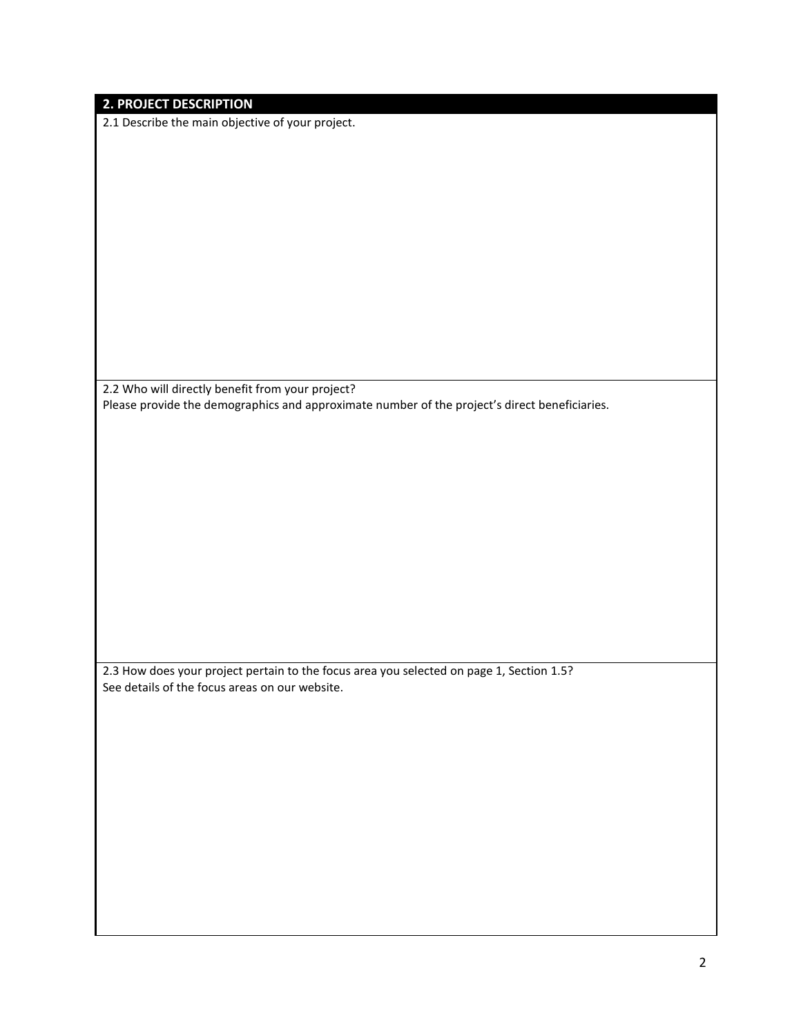| <b>2. PROJECT DESCRIPTION</b><br>2.1 Describe the main objective of your project.             |
|-----------------------------------------------------------------------------------------------|
|                                                                                               |
|                                                                                               |
|                                                                                               |
|                                                                                               |
|                                                                                               |
|                                                                                               |
|                                                                                               |
|                                                                                               |
|                                                                                               |
|                                                                                               |
|                                                                                               |
|                                                                                               |
|                                                                                               |
|                                                                                               |
|                                                                                               |
|                                                                                               |
|                                                                                               |
| 2.2 Who will directly benefit from your project?                                              |
| Please provide the demographics and approximate number of the project's direct beneficiaries. |
|                                                                                               |
|                                                                                               |
|                                                                                               |
|                                                                                               |
|                                                                                               |
|                                                                                               |
|                                                                                               |
|                                                                                               |
|                                                                                               |
|                                                                                               |
|                                                                                               |
|                                                                                               |
|                                                                                               |
|                                                                                               |
|                                                                                               |
|                                                                                               |
|                                                                                               |
| 2.3 How does your project pertain to the focus area you selected on page 1, Section 1.5?      |
| See details of the focus areas on our website.                                                |
|                                                                                               |
|                                                                                               |
|                                                                                               |
|                                                                                               |
|                                                                                               |
|                                                                                               |
|                                                                                               |
|                                                                                               |
|                                                                                               |
|                                                                                               |
|                                                                                               |
|                                                                                               |
|                                                                                               |
|                                                                                               |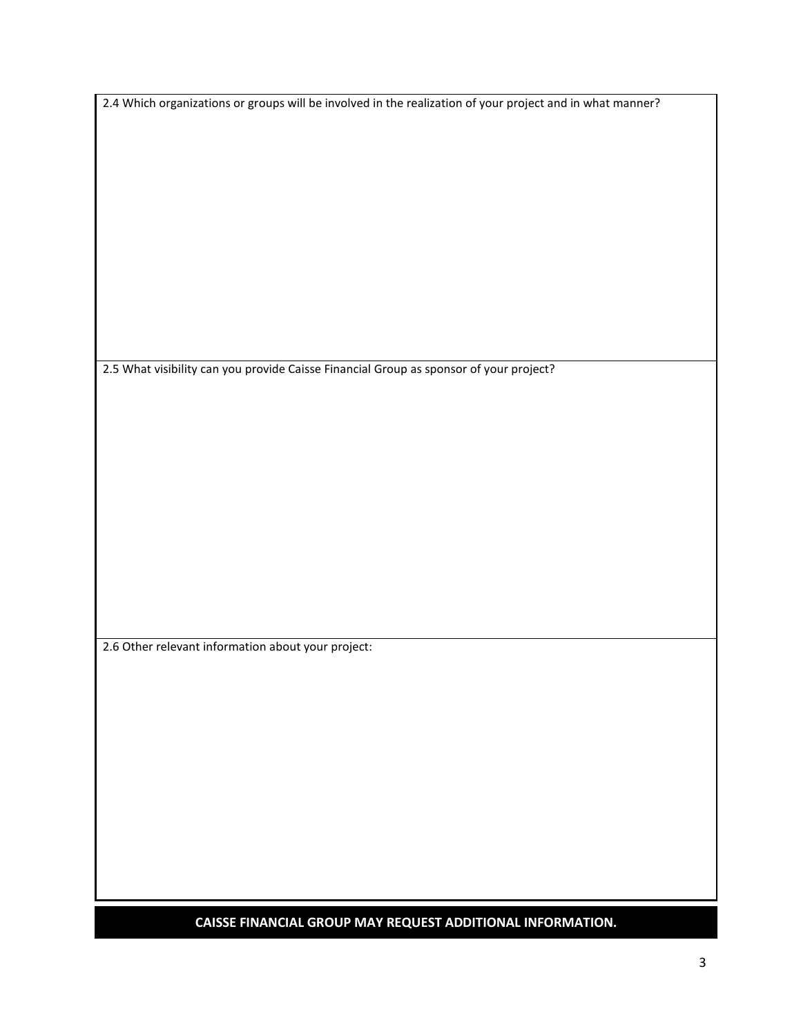|  | 2.4 Which organizations or groups will be involved in the realization of your project and in what manner? |
|--|-----------------------------------------------------------------------------------------------------------|
|  |                                                                                                           |

2.5 What visibility can you provide Caisse Financial Group as sponsor of your project?

2.6 Other relevant information about your project:

**CAISSE FINANCIAL GROUP MAY REQUEST ADDITIONAL INFORMATION.**